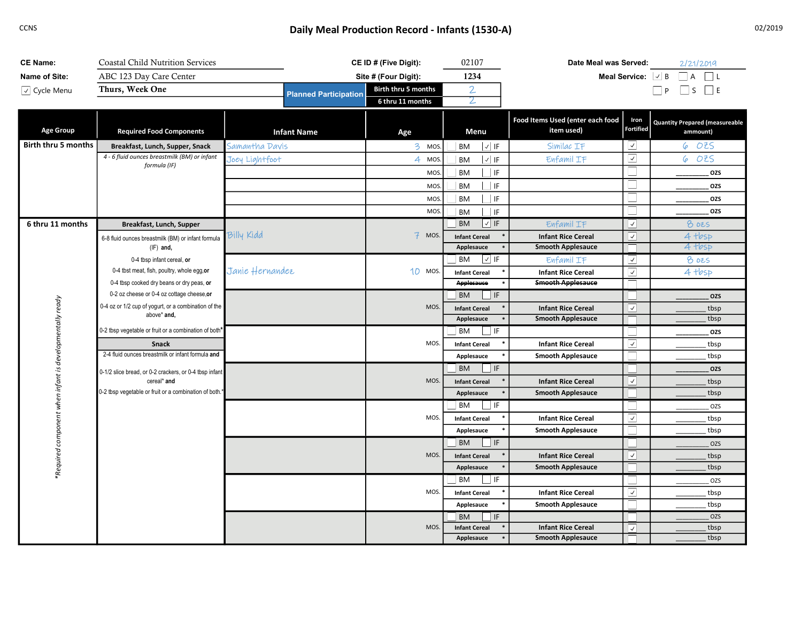## CCNS CONS CONS CONSTRUCTED A CONSTRUCTION CONSTRUCTION CONSTRUCTED ASSEMBLY Meal Production Record - Infants (1530-A)

| <b>CE Name:</b>     | Coastal Child Nutrition Services                                                        |                              | CE ID # (Five Digit): | 02107                                | Date Meal was Served:                          |                                             | 2/21/2019                                         |
|---------------------|-----------------------------------------------------------------------------------------|------------------------------|-----------------------|--------------------------------------|------------------------------------------------|---------------------------------------------|---------------------------------------------------|
| Name of Site:       | ABC 123 Day Care Center                                                                 |                              | Site # (Four Digit):  | 1234                                 |                                                | Meal Service: $\lfloor \sqrt{\ } \rfloor$ B | $\Box$ A $\Box$ L                                 |
| √ Cycle Menu        | Thurs, Week One                                                                         | <b>Planned Participation</b> | Birth thru 5 months   | $\mathbf{2}$                         |                                                |                                             | $\Box P$ $\Box S$ $\Box E$                        |
|                     |                                                                                         |                              | 6 thru 11 months      | 2                                    |                                                |                                             |                                                   |
| <b>Age Group</b>    | <b>Required Food Components</b>                                                         | <b>Infant Name</b>           | Age                   | Menu                                 | Food Items Used (enter each food<br>item used) | Iron<br>Fortified                           | <b>Quantity Prepared (measureable</b><br>ammount) |
| Birth thru 5 months | Breakfast, Lunch, Supper, Snack                                                         | Samantha Davis               | 3 MOS.                | $\vee$ IF<br>BM                      | Similac IF                                     | ⊻                                           | 6 OZS                                             |
|                     | 4 - 6 fluid ounces breastmilk (BM) or infant<br>formula (IF)                            | Joey Lightfoot               | 4 MOS.                | <b>BM</b><br>$\vert \sqrt{\vert}$ IF | Enfamil IF                                     | $\blacktriangledown$                        | OZS<br>6                                          |
|                     |                                                                                         |                              | MOS.                  | BM<br>$ $ IF                         |                                                |                                             | OZS                                               |
|                     |                                                                                         |                              | MOS.                  | BM<br>$\perp$ IF                     |                                                |                                             | OZS                                               |
|                     |                                                                                         |                              | MOS.                  | BM<br>$ $ IF                         |                                                |                                             | OZS                                               |
|                     |                                                                                         |                              | MOS.                  | BM<br><b>I</b> IF                    |                                                |                                             | OZS                                               |
| 6 thru 11 months    | Breakfast, Lunch, Supper                                                                |                              |                       | BM<br>$\sqrt{ }$ IF                  | Enfamil IF                                     | $\sqrt{2}$                                  | <b>8 025</b>                                      |
|                     | 6-8 fluid ounces breastmilk (BM) or infant formula                                      | Billy Kidd                   | $7$ MOS.              | <b>Infant Cereal</b>                 | <b>Infant Rice Cereal</b>                      | $\overline{\vee}$                           | 4 tbsp                                            |
|                     | $(IF)$ and,                                                                             |                              |                       | Applesauce                           | <b>Smooth Applesauce</b>                       |                                             | 4 tbsp                                            |
|                     | 0-4 tbsp infant cereal, or                                                              |                              |                       | $\sqrt{15}$<br>BM                    | Enfamil IF                                     | $\vert \cdot \vert$                         | 8025                                              |
|                     | 0-4 tbst meat, fish, poultry, whole egg, or                                             | Janie Hernandez              | 10 MOS.               | <b>Infant Cereal</b>                 | <b>Infant Rice Cereal</b>                      | $\overline{\mathcal{L}}$                    | 4 tbsp                                            |
|                     | 0-4 tbsp cooked dry beans or dry peas, or<br>0-2 oz cheese or 0-4 oz cottage cheese, or |                              |                       | <b>Applesauce</b><br>BM<br>$\Box$ IF | <b>Smooth Applesauce</b>                       |                                             |                                                   |
| ready               | 0-4 oz or 1/2 cup of yogurt, or a combination of the                                    |                              | MOS.                  | <b>Infant Cereal</b>                 | <b>Infant Rice Cereal</b>                      | $\overline{\mathbf{v}}$                     | OZS<br>tbsp                                       |
|                     | above* and.                                                                             |                              |                       | Applesauce                           | <b>Smooth Applesauce</b>                       |                                             | tbsp                                              |
|                     | 1-2 tbsp vegetable or fruit or a combination of both*                                   |                              |                       | BM<br>$\Box$ IF                      |                                                |                                             | OZS                                               |
|                     | Snack                                                                                   |                              | MOS.                  | <b>Infant Cereal</b>                 | <b>Infant Rice Cereal</b>                      | $\blacktriangledown$                        | tbsp                                              |
| developmentally     | 2-4 fluid ounces breastmilk or infant formula and                                       |                              |                       | Applesauce                           | <b>Smooth Applesauce</b>                       |                                             | tbsp                                              |
|                     | 0-1/2 slice bread, or 0-2 crackers, or 0-4 tbsp infant                                  |                              |                       | <b>BM</b><br>$\vert$ IF              |                                                |                                             | OZS                                               |
| when infant is      | cereal* and                                                                             |                              | MOS.                  | <b>Infant Cereal</b>                 | <b>Infant Rice Cereal</b>                      | $\sqrt{ }$                                  | tbsp                                              |
|                     | 0-2 tbsp vegetable or fruit or a combination of both.*                                  |                              |                       | Applesauce                           | <b>Smooth Applesauce</b>                       |                                             | tbsp                                              |
| component           |                                                                                         |                              |                       | <b>BM</b><br>$\Box$ IF               |                                                |                                             | OZS                                               |
|                     |                                                                                         |                              | MOS.                  | <b>Infant Cereal</b>                 | <b>Infant Rice Cereal</b>                      | $\overline{\mathcal{S}}$                    | tbsp                                              |
|                     |                                                                                         |                              |                       | Applesauce                           | <b>Smooth Applesauce</b>                       |                                             | tbsp                                              |
| *Required           |                                                                                         |                              |                       | $\Box$ IF<br><b>BM</b>               |                                                |                                             | OZS                                               |
|                     |                                                                                         |                              | MOS.                  | <b>Infant Cereal</b>                 | <b>Infant Rice Cereal</b>                      | $\overline{\vee}$                           | tbsp                                              |
|                     |                                                                                         |                              |                       | Applesauce                           | <b>Smooth Applesauce</b>                       |                                             | tbsp                                              |
|                     |                                                                                         |                              | MOS.                  | $\Box$ IF<br>  BM                    |                                                |                                             | OZS                                               |
|                     |                                                                                         |                              |                       | <b>Infant Cereal</b>                 | <b>Infant Rice Cereal</b>                      | $\overline{\mathcal{L}}$                    | tbsp                                              |
|                     |                                                                                         |                              |                       | Applesauce<br>BM<br>$ $ IF           | <b>Smooth Applesauce</b>                       |                                             | tbsp<br>OZS                                       |
|                     |                                                                                         |                              | <b>MOS</b>            | <b>Infant Cereal</b>                 | <b>Infant Rice Cereal</b>                      | $\boxed{\vee}$                              | tbsp                                              |
|                     |                                                                                         |                              |                       | Applesauce                           | <b>Smooth Applesauce</b>                       |                                             | tbsp                                              |